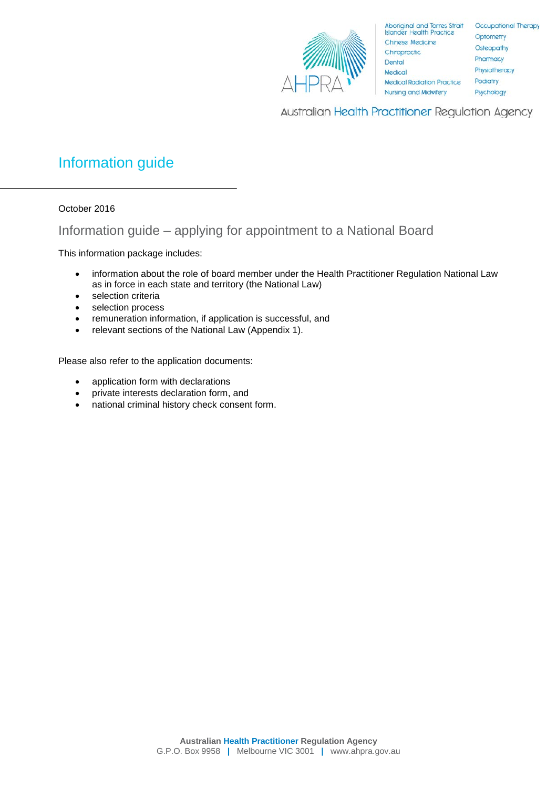

Australian Health Practitioner Regulation Agency

# Information guide

October 2016

# Information guide – applying for appointment to a National Board

This information package includes:

- information about the role of board member under the Health Practitioner Regulation National Law as in force in each state and territory (the National Law)
- selection criteria
- selection process
- remuneration information, if application is successful, and
- relevant sections of the National Law (Appendix 1).

Please also refer to the application documents:

- application form with declarations
- private interests declaration form, and
- national criminal history check consent form.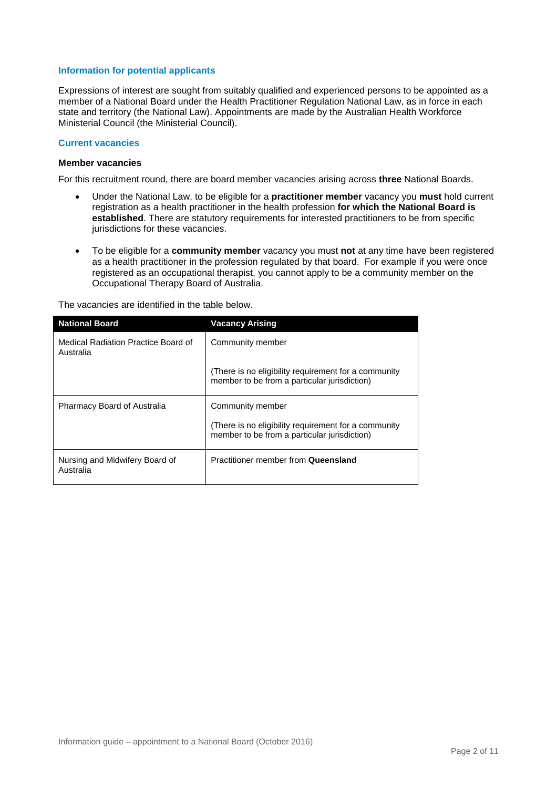# **Information for potential applicants**

Expressions of interest are sought from suitably qualified and experienced persons to be appointed as a member of a National Board under the Health Practitioner Regulation National Law, as in force in each state and territory (the National Law). Appointments are made by the Australian Health Workforce Ministerial Council (the Ministerial Council).

# **Current vacancies**

# **Member vacancies**

For this recruitment round, there are board member vacancies arising across **three** National Boards.

- Under the National Law, to be eligible for a **practitioner member** vacancy you **must** hold current registration as a health practitioner in the health profession **for which the National Board is established**. There are statutory requirements for interested practitioners to be from specific jurisdictions for these vacancies.
- To be eligible for a **community member** vacancy you must **not** at any time have been registered as a health practitioner in the profession regulated by that board. For example if you were once registered as an occupational therapist, you cannot apply to be a community member on the Occupational Therapy Board of Australia.

| <b>National Board</b>                            | <b>Vacancy Arising</b>                                                                               |  |
|--------------------------------------------------|------------------------------------------------------------------------------------------------------|--|
| Medical Radiation Practice Board of<br>Australia | Community member                                                                                     |  |
|                                                  | (There is no eligibility requirement for a community<br>member to be from a particular jurisdiction) |  |
| <b>Pharmacy Board of Australia</b>               | Community member                                                                                     |  |
|                                                  | (There is no eligibility requirement for a community<br>member to be from a particular jurisdiction) |  |
| Nursing and Midwifery Board of<br>Australia      | Practitioner member from Queensland                                                                  |  |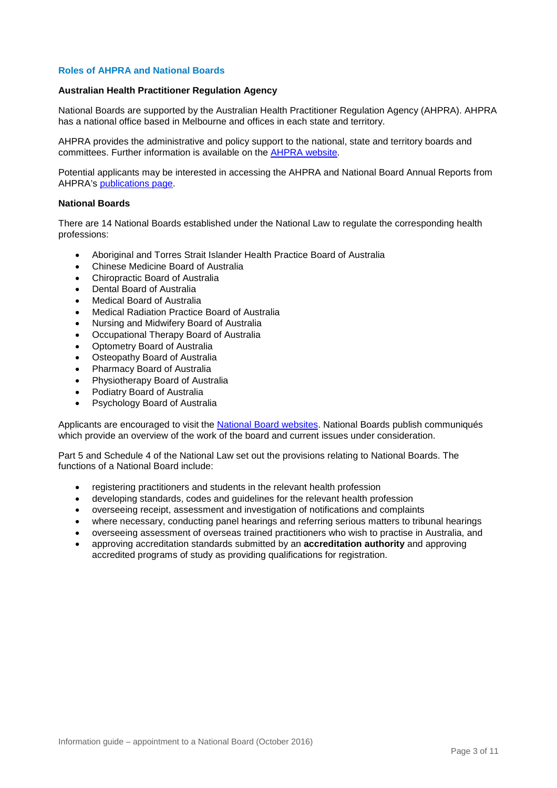# **Roles of AHPRA and National Boards**

#### **Australian Health Practitioner Regulation Agency**

National Boards are supported by the Australian Health Practitioner Regulation Agency (AHPRA). AHPRA has a national office based in Melbourne and offices in each state and territory.

AHPRA provides the administrative and policy support to the national, state and territory boards and committees. Further information is available on the [AHPRA website.](https://www.ahpra.gov.au/)

Potential applicants may be interested in accessing the AHPRA and National Board Annual Reports from AHPRA's [publications page.](http://www.ahpra.gov.au/Legislation-and-Publications/AHPRA-Publications.aspx)

#### **National Boards**

There are 14 National Boards established under the National Law to regulate the corresponding health professions:

- Aboriginal and Torres Strait Islander Health Practice Board of Australia
- Chinese Medicine Board of Australia
- Chiropractic Board of Australia
- Dental Board of Australia
- Medical Board of Australia
- Medical Radiation Practice Board of Australia
- Nursing and Midwifery Board of Australia
- Occupational Therapy Board of Australia
- Optometry Board of Australia
- **Osteopathy Board of Australia**
- Pharmacy Board of Australia
- Physiotherapy Board of Australia
- Podiatry Board of Australia
- Psychology Board of Australia

Applicants are encouraged to visit the [National Board websites.](http://www.ahpra.gov.au/National-Boards.aspx) National Boards publish communiqués which provide an overview of the work of the board and current issues under consideration.

Part 5 and Schedule 4 of the National Law set out the provisions relating to National Boards. The functions of a National Board include:

- registering practitioners and students in the relevant health profession
- developing standards, codes and guidelines for the relevant health profession
- overseeing receipt, assessment and investigation of notifications and complaints
- where necessary, conducting panel hearings and referring serious matters to tribunal hearings
- overseeing assessment of overseas trained practitioners who wish to practise in Australia, and
- approving accreditation standards submitted by an **accreditation authority** and approving accredited programs of study as providing qualifications for registration.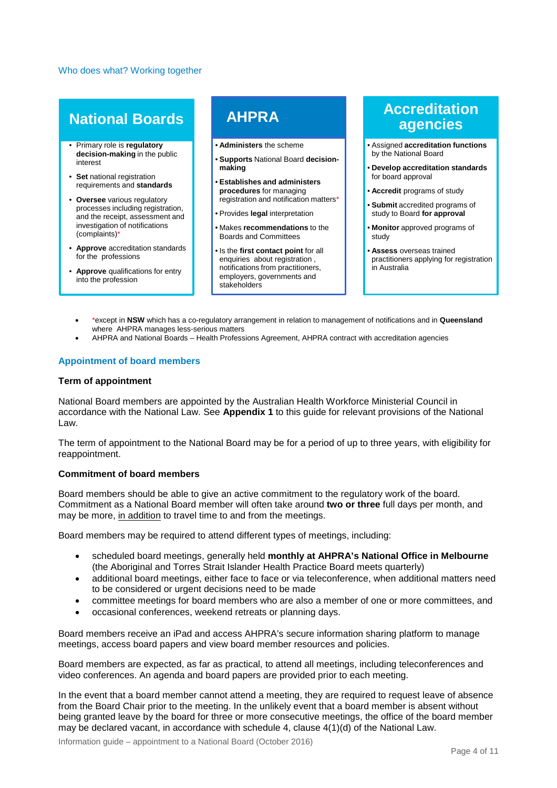#### Who does what? Working together

# **National Boards**

- Primary role is **regulatory decision-making** in the public interest
- **Set** national registration requirements and **standards**
- **Oversee** various regulatory processes including registration, and the receipt, assessment and investigation of notifications (complaints)\*
- **Approve** accreditation standards for the professions
- **Approve** qualifications for entry into the profession

# **AHPRA**

- **Administers** the scheme
- **Supports** National Board **decisionmaking**
- **Establishes and administers procedures** for managing registration and notification matters\*
- Provides **legal** interpretation
- Makes **recommendations** to the Boards and Committees
- Is the **first contact point** for all enquiries about registration , notifications from practitioners, employers, governments and stakeholders

# **Accreditation agencies**

- Assigned **accreditation functions**  by the National Board
- **Develop accreditation standards**  for board approval
- **Accredit** programs of study
- **Submit** accredited programs of study to Board **for approval**
- **Monitor** approved programs of study
- **Assess** overseas trained practitioners applying for registration in Australia
- \*except in **NSW** which has a co-regulatory arrangement in relation to management of notifications and in **Queensland** where AHPRA manages less-serious matters
- AHPRA and National Boards Health Professions Agreement, AHPRA contract with accreditation agencies

# **Appointment of board members**

#### **Term of appointment**

National Board members are appointed by the Australian Health Workforce Ministerial Council in accordance with the National Law. See **Appendix 1** to this guide for relevant provisions of the National Law.

The term of appointment to the National Board may be for a period of up to three years, with eligibility for reappointment.

# **Commitment of board members**

Board members should be able to give an active commitment to the regulatory work of the board. Commitment as a National Board member will often take around **two or three** full days per month, and may be more, in addition to travel time to and from the meetings.

Board members may be required to attend different types of meetings, including:

- scheduled board meetings, generally held **monthly at AHPRA's National Office in Melbourne** (the Aboriginal and Torres Strait Islander Health Practice Board meets quarterly)
- additional board meetings, either face to face or via teleconference, when additional matters need to be considered or urgent decisions need to be made
- committee meetings for board members who are also a member of one or more committees, and
- occasional conferences, weekend retreats or planning days.

Board members receive an iPad and access AHPRA's secure information sharing platform to manage meetings, access board papers and view board member resources and policies.

Board members are expected, as far as practical, to attend all meetings, including teleconferences and video conferences. An agenda and board papers are provided prior to each meeting.

In the event that a board member cannot attend a meeting, they are required to request leave of absence from the Board Chair prior to the meeting. In the unlikely event that a board member is absent without being granted leave by the board for three or more consecutive meetings, the office of the board member may be declared vacant, in accordance with schedule 4, clause 4(1)(d) of the National Law.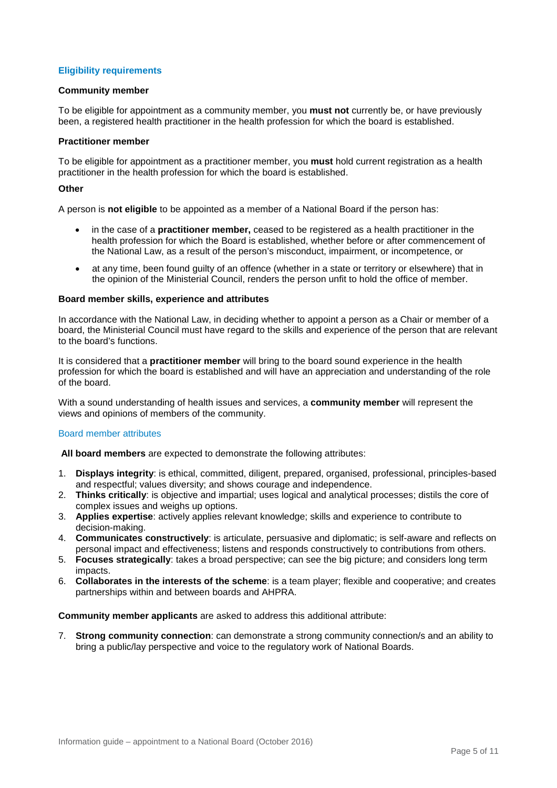# **Eligibility requirements**

#### **Community member**

To be eligible for appointment as a community member, you **must not** currently be, or have previously been, a registered health practitioner in the health profession for which the board is established.

#### **Practitioner member**

To be eligible for appointment as a practitioner member, you **must** hold current registration as a health practitioner in the health profession for which the board is established.

#### **Other**

A person is **not eligible** to be appointed as a member of a National Board if the person has:

- in the case of a **practitioner member,** ceased to be registered as a health practitioner in the health profession for which the Board is established, whether before or after commencement of the National Law, as a result of the person's misconduct, impairment, or incompetence, or
- at any time, been found guilty of an offence (whether in a state or territory or elsewhere) that in the opinion of the Ministerial Council, renders the person unfit to hold the office of member.

#### **Board member skills, experience and attributes**

In accordance with the National Law, in deciding whether to appoint a person as a Chair or member of a board, the Ministerial Council must have regard to the skills and experience of the person that are relevant to the board's functions.

It is considered that a **practitioner member** will bring to the board sound experience in the health profession for which the board is established and will have an appreciation and understanding of the role of the board.

With a sound understanding of health issues and services, a **community member** will represent the views and opinions of members of the community.

# Board member attributes

**All board members** are expected to demonstrate the following attributes:

- 1. **Displays integrity**: is ethical, committed, diligent, prepared, organised, professional, principles-based and respectful; values diversity; and shows courage and independence.
- 2. **Thinks critically**: is objective and impartial; uses logical and analytical processes; distils the core of complex issues and weighs up options.
- 3. **Applies expertise**: actively applies relevant knowledge; skills and experience to contribute to decision-making.
- 4. **Communicates constructively**: is articulate, persuasive and diplomatic; is self-aware and reflects on personal impact and effectiveness; listens and responds constructively to contributions from others.
- 5. **Focuses strategically**: takes a broad perspective; can see the big picture; and considers long term impacts.
- 6. **Collaborates in the interests of the scheme**: is a team player; flexible and cooperative; and creates partnerships within and between boards and AHPRA.

**Community member applicants** are asked to address this additional attribute:

7. **Strong community connection**: can demonstrate a strong community connection/s and an ability to bring a public/lay perspective and voice to the regulatory work of National Boards.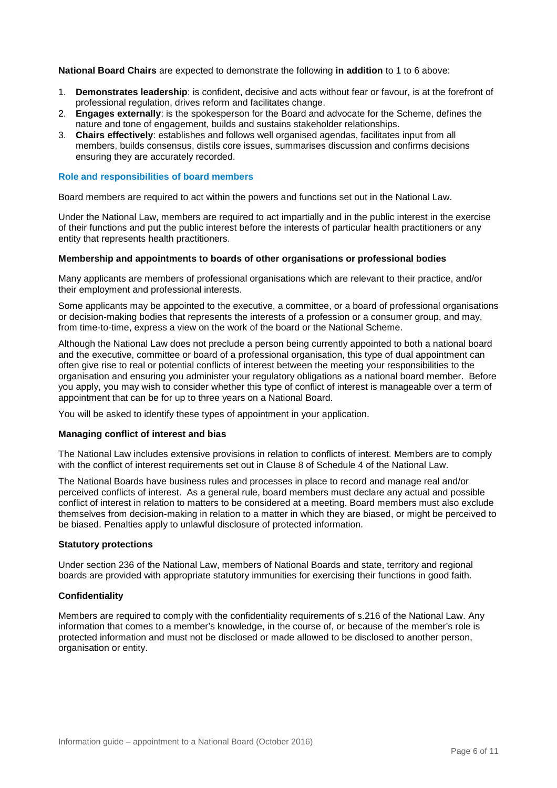**National Board Chairs** are expected to demonstrate the following **in addition** to 1 to 6 above:

- 1. **Demonstrates leadership**: is confident, decisive and acts without fear or favour, is at the forefront of professional regulation, drives reform and facilitates change.
- 2. **Engages externally**: is the spokesperson for the Board and advocate for the Scheme, defines the nature and tone of engagement, builds and sustains stakeholder relationships.
- 3. **Chairs effectively**: establishes and follows well organised agendas, facilitates input from all members, builds consensus, distils core issues, summarises discussion and confirms decisions ensuring they are accurately recorded.

# **Role and responsibilities of board members**

Board members are required to act within the powers and functions set out in the National Law.

Under the National Law, members are required to act impartially and in the public interest in the exercise of their functions and put the public interest before the interests of particular health practitioners or any entity that represents health practitioners.

#### **Membership and appointments to boards of other organisations or professional bodies**

Many applicants are members of professional organisations which are relevant to their practice, and/or their employment and professional interests.

Some applicants may be appointed to the executive, a committee, or a board of professional organisations or decision-making bodies that represents the interests of a profession or a consumer group, and may, from time-to-time, express a view on the work of the board or the National Scheme.

Although the National Law does not preclude a person being currently appointed to both a national board and the executive, committee or board of a professional organisation, this type of dual appointment can often give rise to real or potential conflicts of interest between the meeting your responsibilities to the organisation and ensuring you administer your regulatory obligations as a national board member. Before you apply, you may wish to consider whether this type of conflict of interest is manageable over a term of appointment that can be for up to three years on a National Board.

You will be asked to identify these types of appointment in your application.

#### **Managing conflict of interest and bias**

The National Law includes extensive provisions in relation to conflicts of interest. Members are to comply with the conflict of interest requirements set out in Clause 8 of Schedule 4 of the National Law.

The National Boards have business rules and processes in place to record and manage real and/or perceived conflicts of interest. As a general rule, board members must declare any actual and possible conflict of interest in relation to matters to be considered at a meeting. Board members must also exclude themselves from decision-making in relation to a matter in which they are biased, or might be perceived to be biased. Penalties apply to unlawful disclosure of protected information.

#### **Statutory protections**

Under section 236 of the National Law, members of National Boards and state, territory and regional boards are provided with appropriate statutory immunities for exercising their functions in good faith.

#### **Confidentiality**

Members are required to comply with the confidentiality requirements of s.216 of the National Law. Any information that comes to a member's knowledge, in the course of, or because of the member's role is protected information and must not be disclosed or made allowed to be disclosed to another person, organisation or entity.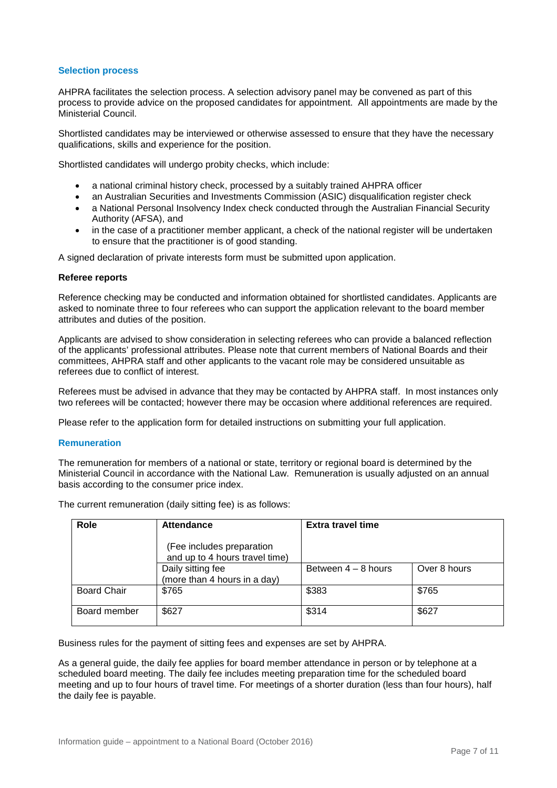# **Selection process**

AHPRA facilitates the selection process. A selection advisory panel may be convened as part of this process to provide advice on the proposed candidates for appointment. All appointments are made by the Ministerial Council.

Shortlisted candidates may be interviewed or otherwise assessed to ensure that they have the necessary qualifications, skills and experience for the position.

Shortlisted candidates will undergo probity checks, which include:

- a national criminal history check, processed by a suitably trained AHPRA officer
- an Australian Securities and Investments Commission (ASIC) disqualification register check
- a National Personal Insolvency Index check conducted through the Australian Financial Security Authority (AFSA), and
- in the case of a practitioner member applicant, a check of the national register will be undertaken to ensure that the practitioner is of good standing.

A signed declaration of private interests form must be submitted upon application.

# **Referee reports**

Reference checking may be conducted and information obtained for shortlisted candidates. Applicants are asked to nominate three to four referees who can support the application relevant to the board member attributes and duties of the position.

Applicants are advised to show consideration in selecting referees who can provide a balanced reflection of the applicants' professional attributes. Please note that current members of National Boards and their committees, AHPRA staff and other applicants to the vacant role may be considered unsuitable as referees due to conflict of interest.

Referees must be advised in advance that they may be contacted by AHPRA staff. In most instances only two referees will be contacted; however there may be occasion where additional references are required.

Please refer to the application form for detailed instructions on submitting your full application.

# **Remuneration**

The remuneration for members of a national or state, territory or regional board is determined by the Ministerial Council in accordance with the National Law. Remuneration is usually adjusted on an annual basis according to the consumer price index.

The current remuneration (daily sitting fee) is as follows: **Role Attendance Extra travel time**

| Role               | <b>Attendance</b>                                           | Extra travel time     |              |
|--------------------|-------------------------------------------------------------|-----------------------|--------------|
|                    | (Fee includes preparation<br>and up to 4 hours travel time) |                       |              |
|                    | Daily sitting fee<br>(more than 4 hours in a day)           | Between $4 - 8$ hours | Over 8 hours |
| <b>Board Chair</b> | \$765                                                       | \$383                 | \$765        |
| Board member       | \$627                                                       | \$314                 | \$627        |

Business rules for the payment of sitting fees and expenses are set by AHPRA.

As a general guide, the daily fee applies for board member attendance in person or by telephone at a scheduled board meeting. The daily fee includes meeting preparation time for the scheduled board meeting and up to four hours of travel time. For meetings of a shorter duration (less than four hours), half the daily fee is payable.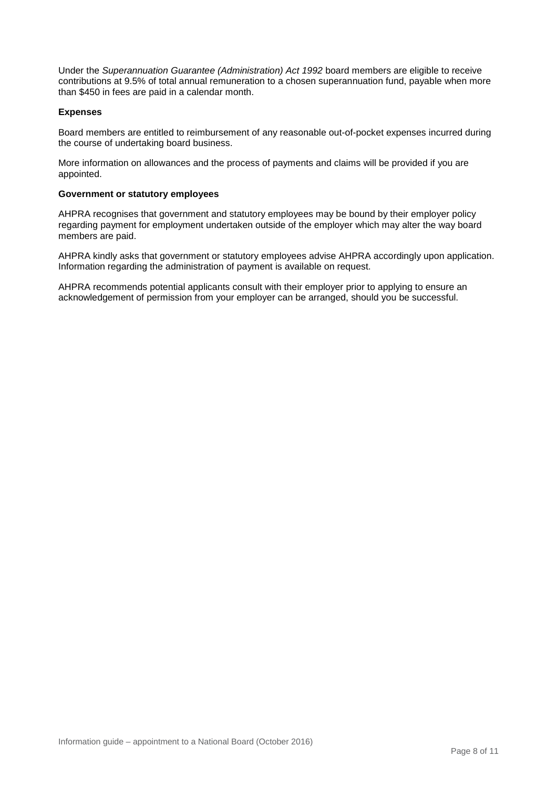Under the *Superannuation Guarantee (Administration) Act 1992* board members are eligible to receive contributions at 9.5% of total annual remuneration to a chosen superannuation fund, payable when more than \$450 in fees are paid in a calendar month.

# **Expenses**

Board members are entitled to reimbursement of any reasonable out-of-pocket expenses incurred during the course of undertaking board business.

More information on allowances and the process of payments and claims will be provided if you are appointed.

# **Government or statutory employees**

AHPRA recognises that government and statutory employees may be bound by their employer policy regarding payment for employment undertaken outside of the employer which may alter the way board members are paid.

AHPRA kindly asks that government or statutory employees advise AHPRA accordingly upon application. Information regarding the administration of payment is available on request.

AHPRA recommends potential applicants consult with their employer prior to applying to ensure an acknowledgement of permission from your employer can be arranged, should you be successful.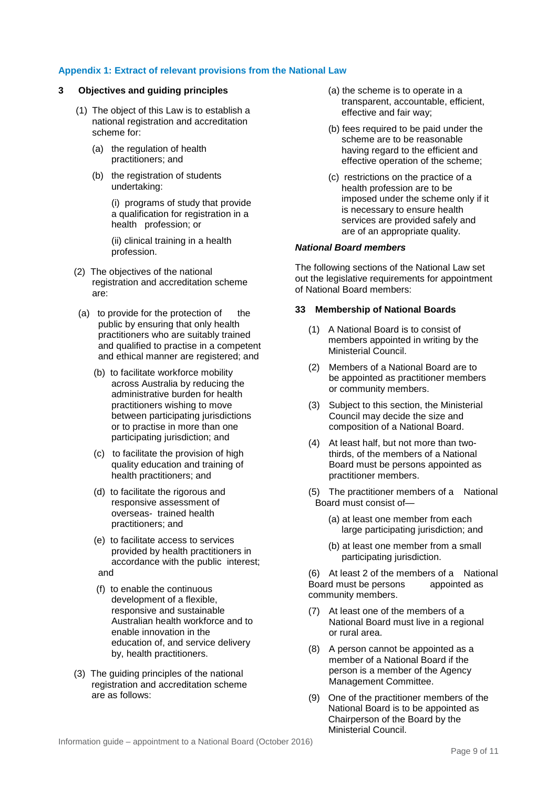# **Appendix 1: Extract of relevant provisions from the National Law**

# **3 Objectives and guiding principles**

- (1) The object of this Law is to establish a national registration and accreditation scheme for:
	- (a) the regulation of health practitioners; and
	- (b) the registration of students undertaking:

(i) programs of study that provide a qualification for registration in a health profession; or

(ii) clinical training in a health profession.

- (2) The objectives of the national registration and accreditation scheme are:
- $(a)$  to provide for the protection of the public by ensuring that only health practitioners who are suitably trained and qualified to practise in a competent and ethical manner are registered; and
	- (b) to facilitate workforce mobility across Australia by reducing the administrative burden for health practitioners wishing to move between participating jurisdictions or to practise in more than one participating jurisdiction; and
	- (c) to facilitate the provision of high quality education and training of health practitioners; and
	- (d) to facilitate the rigorous and responsive assessment of overseas- trained health practitioners; and
	- (e) to facilitate access to services provided by health practitioners in accordance with the public interest; and
	- (f) to enable the continuous development of a flexible, responsive and sustainable Australian health workforce and to enable innovation in the education of, and service delivery by, health practitioners.
- (3) The guiding principles of the national registration and accreditation scheme are as follows:
- (a) the scheme is to operate in a transparent, accountable, efficient, effective and fair way;
- (b) fees required to be paid under the scheme are to be reasonable having regard to the efficient and effective operation of the scheme;
- (c) restrictions on the practice of a health profession are to be imposed under the scheme only if it is necessary to ensure health services are provided safely and are of an appropriate quality.

#### *National Board members*

The following sections of the National Law set out the legislative requirements for appointment of National Board members:

# **33 Membership of National Boards**

- (1) A National Board is to consist of members appointed in writing by the Ministerial Council.
- (2) Members of a National Board are to be appointed as practitioner members or community members.
- (3) Subject to this section, the Ministerial Council may decide the size and composition of a National Board.
- (4) At least half, but not more than twothirds, of the members of a National Board must be persons appointed as practitioner members.
- (5) The practitioner members of a National Board must consist of—
	- (a) at least one member from each large participating jurisdiction; and
	- (b) at least one member from a small participating jurisdiction.

(6) At least 2 of the members of a National Board must be persons appointed as Board must be persons community members.

- (7) At least one of the members of a National Board must live in a regional or rural area.
- (8) A person cannot be appointed as a member of a National Board if the person is a member of the Agency Management Committee.
- (9) One of the practitioner members of the National Board is to be appointed as Chairperson of the Board by the Ministerial Council.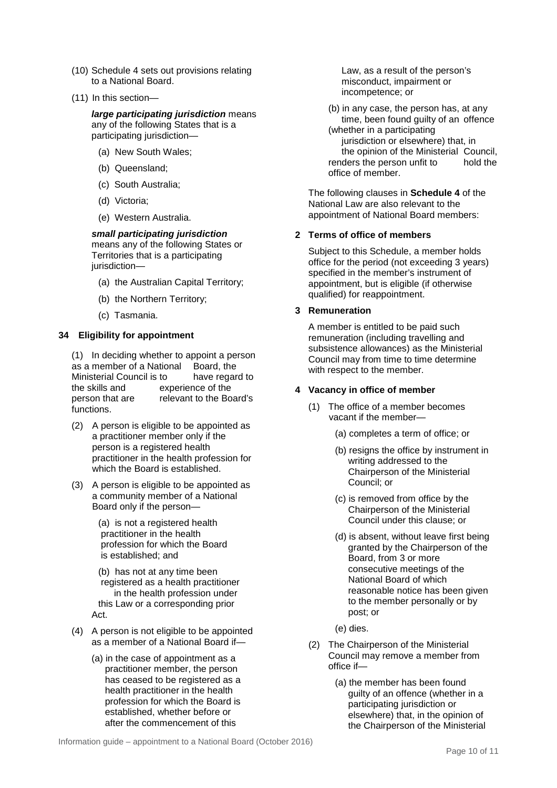- (10) Schedule 4 sets out provisions relating to a National Board.
- (11) In this section—

*large participating jurisdiction* means any of the following States that is a participating jurisdiction—

- (a) New South Wales;
- (b) Queensland;
- (c) South Australia;
- (d) Victoria;
- (e) Western Australia.

*small participating jurisdiction*  means any of the following States or Territories that is a participating jurisdiction—

- (a) the Australian Capital Territory;
- (b) the Northern Territory;
- (c) Tasmania.

# **34 Eligibility for appointment**

(1) In deciding whether to appoint a person as a member of a National Board, the<br>Ministerial Council is to bave regard to Ministerial Council is to<br>the skills and ex experience of the person that are relevant to the Board's functions.

- (2) A person is eligible to be appointed as a practitioner member only if the person is a registered health practitioner in the health profession for which the Board is established.
- (3) A person is eligible to be appointed as a community member of a National Board only if the person—

(a) is not a registered health practitioner in the health profession for which the Board is established; and

(b) has not at any time been registered as a health practitioner in the health profession under this Law or a corresponding prior Act.

- (4) A person is not eligible to be appointed as a member of a National Board if—
	- (a) in the case of appointment as a practitioner member, the person has ceased to be registered as a health practitioner in the health profession for which the Board is established, whether before or after the commencement of this

Law, as a result of the person's misconduct, impairment or incompetence; or

(b) in any case, the person has, at any time, been found guilty of an offence (whether in a participating

jurisdiction or elsewhere) that, in the opinion of the Ministerial Council, renders the person unfit to hold the office of member.

The following clauses in **Schedule 4** of the National Law are also relevant to the appointment of National Board members:

# **2 Terms of office of members**

Subject to this Schedule, a member holds office for the period (not exceeding 3 years) specified in the member's instrument of appointment, but is eligible (if otherwise qualified) for reappointment.

# **3 Remuneration**

A member is entitled to be paid such remuneration (including travelling and subsistence allowances) as the Ministerial Council may from time to time determine with respect to the member.

# **4 Vacancy in office of member**

- (1) The office of a member becomes vacant if the member—
	- (a) completes a term of office; or
	- (b) resigns the office by instrument in writing addressed to the Chairperson of the Ministerial Council; or
	- (c) is removed from office by the Chairperson of the Ministerial Council under this clause; or
	- (d) is absent, without leave first being granted by the Chairperson of the Board, from 3 or more consecutive meetings of the National Board of which reasonable notice has been given to the member personally or by post; or
	- (e) dies.
- (2) The Chairperson of the Ministerial Council may remove a member from office if—
	- (a) the member has been found guilty of an offence (whether in a participating jurisdiction or elsewhere) that, in the opinion of the Chairperson of the Ministerial

Information guide – appointment to a National Board (October 2016)